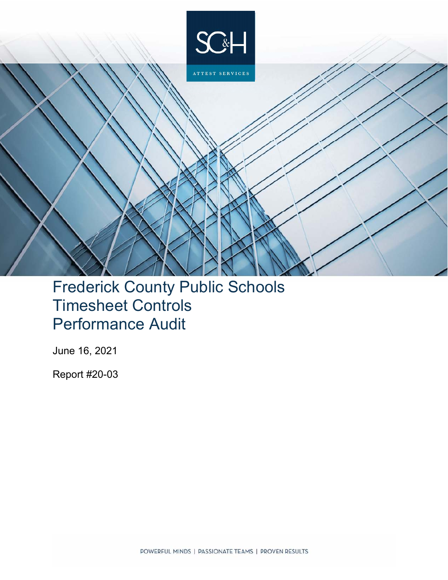

# Frederick County Public Schools Timesheet Controls Performance Audit

June 16, 2021

Report #20-03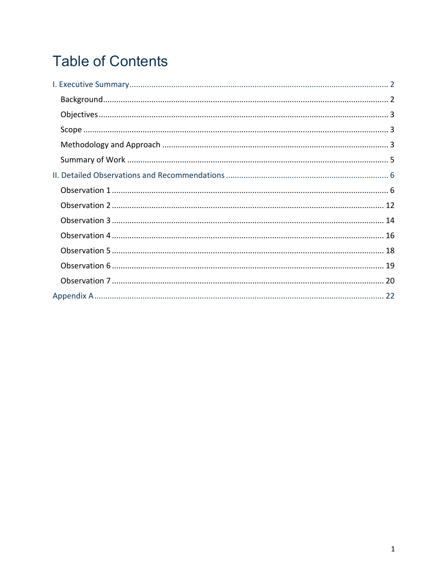# **Table of Contents**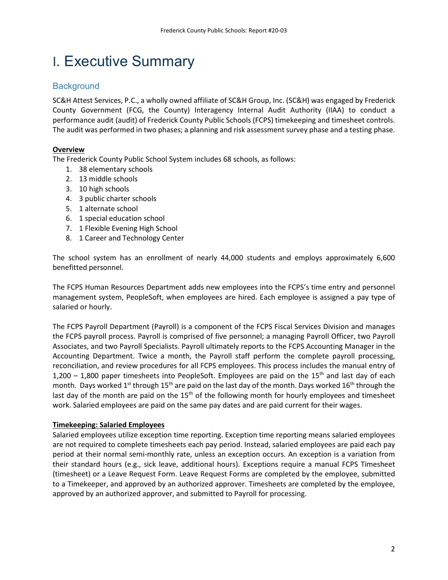## I. Executive Summary

## **Background**

SC&H Attest Services, P.C., a wholly owned affiliate of SC&H Group, Inc. (SC&H) was engaged by Frederick County Government (FCG, the County) Interagency Internal Audit Authority (IIAA) to conduct a performance audit (audit) of Frederick County Public Schools (FCPS) timekeeping and timesheet controls. The audit was performed in two phases; a planning and risk assessment survey phase and a testing phase.

## **Overview**

The Frederick County Public School System includes 68 schools, as follows:

- 1. 38 elementary schools
- 2. 13 middle schools
- 3. 10 high schools
- 4. 3 public charter schools
- 5. 1 alternate school
- 6. 1 special education school
- 7. 1 Flexible Evening High School
- 8. 1 Career and Technology Center

The school system has an enrollment of nearly 44,000 students and employs approximately 6,600 benefitted personnel.

The FCPS Human Resources Department adds new employees into the FCPS's time entry and personnel management system, PeopleSoft, when employees are hired. Each employee is assigned a pay type of salaried or hourly.

The FCPS Payroll Department (Payroll) is a component of the FCPS Fiscal Services Division and manages the FCPS payroll process. Payroll is comprised of five personnel; a managing Payroll Officer, two Payroll Associates, and two Payroll Specialists. Payroll ultimately reports to the FCPS Accounting Manager in the Accounting Department. Twice a month, the Payroll staff perform the complete payroll processing, reconciliation, and review procedures for all FCPS employees. This process includes the manual entry of 1,200 – 1,800 paper timesheets into PeopleSoft. Employees are paid on the 15<sup>th</sup> and last day of each month. Days worked 1<sup>st</sup> through 15<sup>th</sup> are paid on the last day of the month. Days worked 16<sup>th</sup> through the last day of the month are paid on the 15<sup>th</sup> of the following month for hourly employees and timesheet work. Salaried employees are paid on the same pay dates and are paid current for their wages.

## **Timekeeping: Salaried Employees**

Salaried employees utilize exception time reporting. Exception time reporting means salaried employees are not required to complete timesheets each pay period. Instead, salaried employees are paid each pay period at their normal semi-monthly rate, unless an exception occurs. An exception is a variation from their standard hours (e.g., sick leave, additional hours). Exceptions require a manual FCPS Timesheet (timesheet) or a Leave Request Form. Leave Request Forms are completed by the employee, submitted to a Timekeeper, and approved by an authorized approver. Timesheets are completed by the employee, approved by an authorized approver, and submitted to Payroll for processing.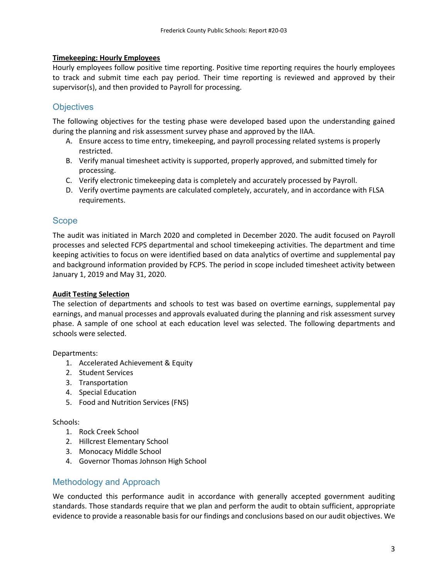## **Timekeeping: Hourly Employees**

Hourly employees follow positive time reporting. Positive time reporting requires the hourly employees to track and submit time each pay period. Their time reporting is reviewed and approved by their supervisor(s), and then provided to Payroll for processing.

## **Objectives**

The following objectives for the testing phase were developed based upon the understanding gained during the planning and risk assessment survey phase and approved by the IIAA.

- A. Ensure access to time entry, timekeeping, and payroll processing related systems is properly restricted.
- B. Verify manual timesheet activity is supported, properly approved, and submitted timely for processing.
- C. Verify electronic timekeeping data is completely and accurately processed by Payroll.
- D. Verify overtime payments are calculated completely, accurately, and in accordance with FLSA requirements.

## Scope

The audit was initiated in March 2020 and completed in December 2020. The audit focused on Payroll processes and selected FCPS departmental and school timekeeping activities. The department and time keeping activities to focus on were identified based on data analytics of overtime and supplemental pay and background information provided by FCPS. The period in scope included timesheet activity between January 1, 2019 and May 31, 2020.

## **Audit Testing Selection**

The selection of departments and schools to test was based on overtime earnings, supplemental pay earnings, and manual processes and approvals evaluated during the planning and risk assessment survey phase. A sample of one school at each education level was selected. The following departments and schools were selected.

Departments:

- 1. Accelerated Achievement & Equity
- 2. Student Services
- 3. Transportation
- 4. Special Education
- 5. Food and Nutrition Services (FNS)

## Schools:

- 1. Rock Creek School
- 2. Hillcrest Elementary School
- 3. Monocacy Middle School
- 4. Governor Thomas Johnson High School

## Methodology and Approach

We conducted this performance audit in accordance with generally accepted government auditing standards. Those standards require that we plan and perform the audit to obtain sufficient, appropriate evidence to provide a reasonable basis for our findings and conclusions based on our audit objectives. We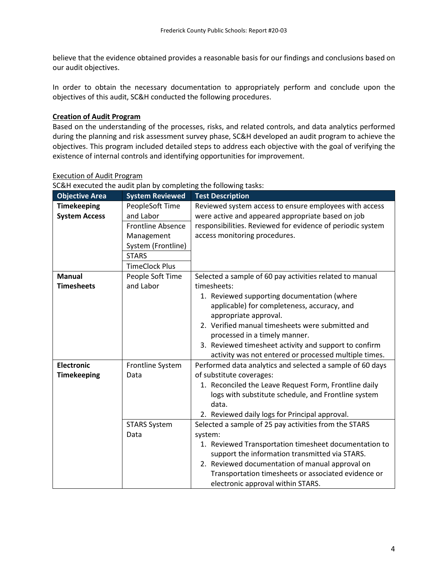believe that the evidence obtained provides a reasonable basis for our findings and conclusions based on our audit objectives.

In order to obtain the necessary documentation to appropriately perform and conclude upon the objectives of this audit, SC&H conducted the following procedures.

## **Creation of Audit Program**

Based on the understanding of the processes, risks, and related controls, and data analytics performed during the planning and risk assessment survey phase, SC&H developed an audit program to achieve the objectives. This program included detailed steps to address each objective with the goal of verifying the existence of internal controls and identifying opportunities for improvement.

| <b>Objective Area</b>                      | <b>System Reviewed</b>                                                                                                                | <b>Test Description</b>                                                                                                                                                                                                                                                                                                                                                                               |  |  |  |
|--------------------------------------------|---------------------------------------------------------------------------------------------------------------------------------------|-------------------------------------------------------------------------------------------------------------------------------------------------------------------------------------------------------------------------------------------------------------------------------------------------------------------------------------------------------------------------------------------------------|--|--|--|
| <b>Timekeeping</b><br><b>System Access</b> | PeopleSoft Time<br>and Labor<br><b>Frontline Absence</b><br>Management<br>System (Frontline)<br><b>STARS</b><br><b>TimeClock Plus</b> | Reviewed system access to ensure employees with access<br>were active and appeared appropriate based on job<br>responsibilities. Reviewed for evidence of periodic system<br>access monitoring procedures.                                                                                                                                                                                            |  |  |  |
| <b>Manual</b><br><b>Timesheets</b>         | People Soft Time<br>and Labor                                                                                                         | Selected a sample of 60 pay activities related to manual<br>timesheets:<br>1. Reviewed supporting documentation (where<br>applicable) for completeness, accuracy, and<br>appropriate approval.<br>2. Verified manual timesheets were submitted and<br>processed in a timely manner.<br>3. Reviewed timesheet activity and support to confirm<br>activity was not entered or processed multiple times. |  |  |  |
| <b>Electronic</b><br><b>Timekeeping</b>    | Frontline System<br>Data                                                                                                              | Performed data analytics and selected a sample of 60 days<br>of substitute coverages:<br>1. Reconciled the Leave Request Form, Frontline daily<br>logs with substitute schedule, and Frontline system<br>data.<br>2. Reviewed daily logs for Principal approval.                                                                                                                                      |  |  |  |
|                                            | <b>STARS System</b><br>Data                                                                                                           | Selected a sample of 25 pay activities from the STARS<br>system:<br>1. Reviewed Transportation timesheet documentation to<br>support the information transmitted via STARS.<br>2. Reviewed documentation of manual approval on<br>Transportation timesheets or associated evidence or<br>electronic approval within STARS.                                                                            |  |  |  |

#### Execution of Audit Program

SC&H executed the audit plan by completing the following tasks: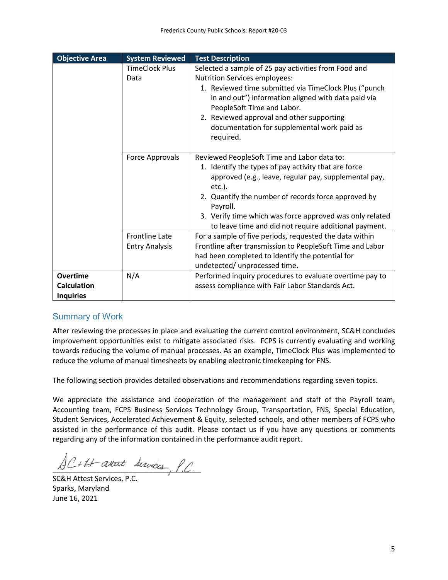| <b>Objective Area</b>                                     | <b>System Reviewed</b>        | <b>Test Description</b>                                                                                                                                                                                                                                                                                                                                           |  |  |
|-----------------------------------------------------------|-------------------------------|-------------------------------------------------------------------------------------------------------------------------------------------------------------------------------------------------------------------------------------------------------------------------------------------------------------------------------------------------------------------|--|--|
|                                                           | <b>TimeClock Plus</b><br>Data | Selected a sample of 25 pay activities from Food and<br><b>Nutrition Services employees:</b><br>1. Reviewed time submitted via TimeClock Plus ("punch<br>in and out") information aligned with data paid via<br>PeopleSoft Time and Labor.<br>2. Reviewed approval and other supporting<br>documentation for supplemental work paid as<br>required.               |  |  |
|                                                           | Force Approvals               | Reviewed PeopleSoft Time and Labor data to:<br>1. Identify the types of pay activity that are force<br>approved (e.g., leave, regular pay, supplemental pay,<br>$etc.$ ).<br>2. Quantify the number of records force approved by<br>Payroll.<br>3. Verify time which was force approved was only related<br>to leave time and did not require additional payment. |  |  |
|                                                           | <b>Frontline Late</b>         | For a sample of five periods, requested the data within                                                                                                                                                                                                                                                                                                           |  |  |
|                                                           | <b>Entry Analysis</b>         | Frontline after transmission to PeopleSoft Time and Labor<br>had been completed to identify the potential for<br>undetected/ unprocessed time.                                                                                                                                                                                                                    |  |  |
| <b>Overtime</b><br><b>Calculation</b><br><b>Inquiries</b> | N/A                           | Performed inquiry procedures to evaluate overtime pay to<br>assess compliance with Fair Labor Standards Act.                                                                                                                                                                                                                                                      |  |  |

## Summary of Work

After reviewing the processes in place and evaluating the current control environment, SC&H concludes improvement opportunities exist to mitigate associated risks. FCPS is currently evaluating and working towards reducing the volume of manual processes. As an example, TimeClock Plus was implemented to reduce the volume of manual timesheets by enabling electronic timekeeping for FNS.

The following section provides detailed observations and recommendations regarding seven topics.

We appreciate the assistance and cooperation of the management and staff of the Payroll team, Accounting team, FCPS Business Services Technology Group, Transportation, FNS, Special Education, Student Services, Accelerated Achievement & Equity, selected schools, and other members of FCPS who assisted in the performance of this audit. Please contact us if you have any questions or comments regarding any of the information contained in the performance audit report.

 $AC+11$  attest Survices, P.C.

SC&H Attest Services, P.C. Sparks, Maryland June 16, 2021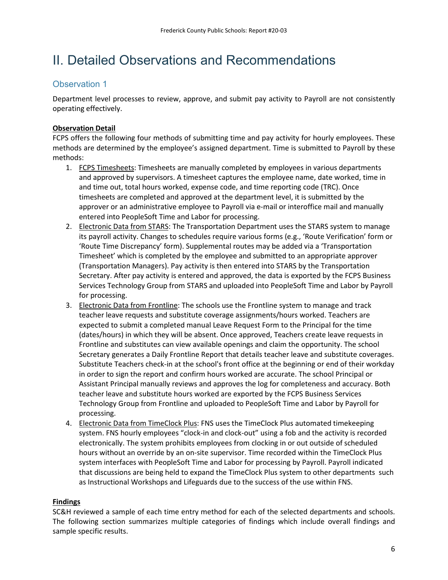## II. Detailed Observations and Recommendations

## Observation 1

Department level processes to review, approve, and submit pay activity to Payroll are not consistently operating effectively.

## **Observation Detail**

FCPS offers the following four methods of submitting time and pay activity for hourly employees. These methods are determined by the employee's assigned department. Time is submitted to Payroll by these methods:

- 1. FCPS Timesheets: Timesheets are manually completed by employees in various departments and approved by supervisors. A timesheet captures the employee name, date worked, time in and time out, total hours worked, expense code, and time reporting code (TRC). Once timesheets are completed and approved at the department level, it is submitted by the approver or an administrative employee to Payroll via e-mail or interoffice mail and manually entered into PeopleSoft Time and Labor for processing.
- 2. Electronic Data from STARS: The Transportation Department uses the STARS system to manage its payroll activity. Changes to schedules require various forms (e.g., 'Route Verification' form or 'Route Time Discrepancy' form). Supplemental routes may be added via a 'Transportation Timesheet' which is completed by the employee and submitted to an appropriate approver (Transportation Managers). Pay activity is then entered into STARS by the Transportation Secretary. After pay activity is entered and approved, the data is exported by the FCPS Business Services Technology Group from STARS and uploaded into PeopleSoft Time and Labor by Payroll for processing.
- 3. Electronic Data from Frontline: The schools use the Frontline system to manage and track teacher leave requests and substitute coverage assignments/hours worked. Teachers are expected to submit a completed manual Leave Request Form to the Principal for the time (dates/hours) in which they will be absent. Once approved, Teachers create leave requests in Frontline and substitutes can view available openings and claim the opportunity. The school Secretary generates a Daily Frontline Report that details teacher leave and substitute coverages. Substitute Teachers check-in at the school's front office at the beginning or end of their workday in order to sign the report and confirm hours worked are accurate. The school Principal or Assistant Principal manually reviews and approves the log for completeness and accuracy. Both teacher leave and substitute hours worked are exported by the FCPS Business Services Technology Group from Frontline and uploaded to PeopleSoft Time and Labor by Payroll for processing.
- 4. Electronic Data from TimeClock Plus: FNS uses the TimeClock Plus automated timekeeping system. FNS hourly employees "clock-in and clock-out" using a fob and the activity is recorded electronically. The system prohibits employees from clocking in or out outside of scheduled hours without an override by an on-site supervisor. Time recorded within the TimeClock Plus system interfaces with PeopleSoft Time and Labor for processing by Payroll. Payroll indicated that discussions are being held to expand the TimeClock Plus system to other departments such as Instructional Workshops and Lifeguards due to the success of the use within FNS.

## **Findings**

SC&H reviewed a sample of each time entry method for each of the selected departments and schools. The following section summarizes multiple categories of findings which include overall findings and sample specific results.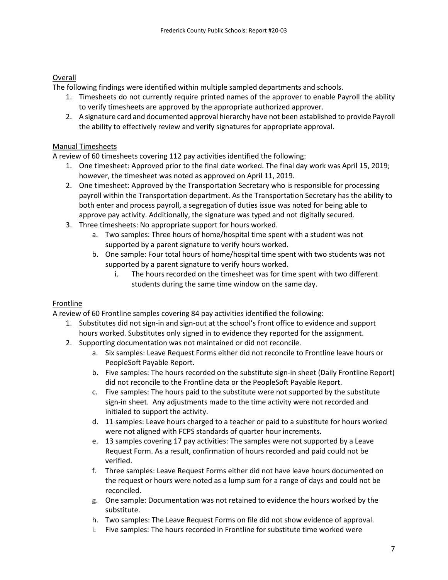## Overall

The following findings were identified within multiple sampled departments and schools.

- 1. Timesheets do not currently require printed names of the approver to enable Payroll the ability to verify timesheets are approved by the appropriate authorized approver.
- 2. A signature card and documented approval hierarchy have not been established to provide Payroll the ability to effectively review and verify signatures for appropriate approval.

## Manual Timesheets

A review of 60 timesheets covering 112 pay activities identified the following:

- 1. One timesheet: Approved prior to the final date worked. The final day work was April 15, 2019; however, the timesheet was noted as approved on April 11, 2019.
- 2. One timesheet: Approved by the Transportation Secretary who is responsible for processing payroll within the Transportation department. As the Transportation Secretary has the ability to both enter and process payroll, a segregation of duties issue was noted for being able to approve pay activity. Additionally, the signature was typed and not digitally secured.
- 3. Three timesheets: No appropriate support for hours worked.
	- a. Two samples: Three hours of home/hospital time spent with a student was not supported by a parent signature to verify hours worked.
	- b. One sample: Four total hours of home/hospital time spent with two students was not supported by a parent signature to verify hours worked.
		- i. The hours recorded on the timesheet was for time spent with two different students during the same time window on the same day.

## Frontline

A review of 60 Frontline samples covering 84 pay activities identified the following:

- 1. Substitutes did not sign-in and sign-out at the school's front office to evidence and support hours worked. Substitutes only signed in to evidence they reported for the assignment.
- 2. Supporting documentation was not maintained or did not reconcile.
	- a. Six samples: Leave Request Forms either did not reconcile to Frontline leave hours or PeopleSoft Payable Report.
	- b. Five samples: The hours recorded on the substitute sign-in sheet (Daily Frontline Report) did not reconcile to the Frontline data or the PeopleSoft Payable Report.
	- c. Five samples: The hours paid to the substitute were not supported by the substitute sign-in sheet. Any adjustments made to the time activity were not recorded and initialed to support the activity.
	- d. 11 samples: Leave hours charged to a teacher or paid to a substitute for hours worked were not aligned with FCPS standards of quarter hour increments.
	- e. 13 samples covering 17 pay activities: The samples were not supported by a Leave Request Form. As a result, confirmation of hours recorded and paid could not be verified.
	- f. Three samples: Leave Request Forms either did not have leave hours documented on the request or hours were noted as a lump sum for a range of days and could not be reconciled.
	- g. One sample: Documentation was not retained to evidence the hours worked by the substitute.
	- h. Two samples: The Leave Request Forms on file did not show evidence of approval.
	- i. Five samples: The hours recorded in Frontline for substitute time worked were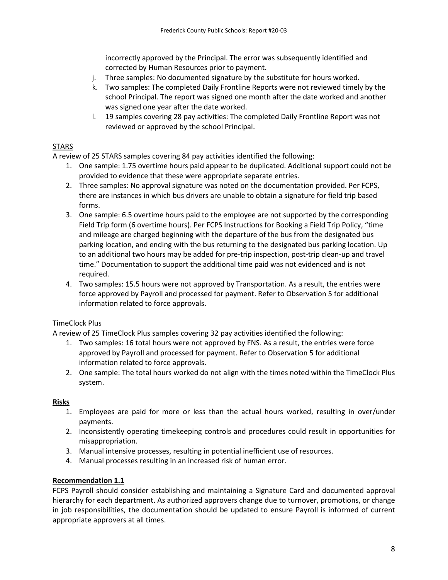incorrectly approved by the Principal. The error was subsequently identified and corrected by Human Resources prior to payment.

- j. Three samples: No documented signature by the substitute for hours worked.
- k. Two samples: The completed Daily Frontline Reports were not reviewed timely by the school Principal. The report was signed one month after the date worked and another was signed one year after the date worked.
- l. 19 samples covering 28 pay activities: The completed Daily Frontline Report was not reviewed or approved by the school Principal.

## STARS

A review of 25 STARS samples covering 84 pay activities identified the following:

- 1. One sample: 1.75 overtime hours paid appear to be duplicated. Additional support could not be provided to evidence that these were appropriate separate entries.
- 2. Three samples: No approval signature was noted on the documentation provided. Per FCPS, there are instances in which bus drivers are unable to obtain a signature for field trip based forms.
- 3. One sample: 6.5 overtime hours paid to the employee are not supported by the corresponding Field Trip form (6 overtime hours). Per FCPS Instructions for Booking a Field Trip Policy, "time and mileage are charged beginning with the departure of the bus from the designated bus parking location, and ending with the bus returning to the designated bus parking location. Up to an additional two hours may be added for pre-trip inspection, post-trip clean-up and travel time." Documentation to support the additional time paid was not evidenced and is not required.
- 4. Two samples: 15.5 hours were not approved by Transportation. As a result, the entries were force approved by Payroll and processed for payment. Refer to Observation 5 for additional information related to force approvals.

## TimeClock Plus

A review of 25 TimeClock Plus samples covering 32 pay activities identified the following:

- 1. Two samples: 16 total hours were not approved by FNS. As a result, the entries were force approved by Payroll and processed for payment. Refer to Observation 5 for additional information related to force approvals.
- 2. One sample: The total hours worked do not align with the times noted within the TimeClock Plus system.

## **Risks**

- 1. Employees are paid for more or less than the actual hours worked, resulting in over/under payments.
- 2. Inconsistently operating timekeeping controls and procedures could result in opportunities for misappropriation.
- 3. Manual intensive processes, resulting in potential inefficient use of resources.
- 4. Manual processes resulting in an increased risk of human error.

## **Recommendation 1.1**

FCPS Payroll should consider establishing and maintaining a Signature Card and documented approval hierarchy for each department. As authorized approvers change due to turnover, promotions, or change in job responsibilities, the documentation should be updated to ensure Payroll is informed of current appropriate approvers at all times.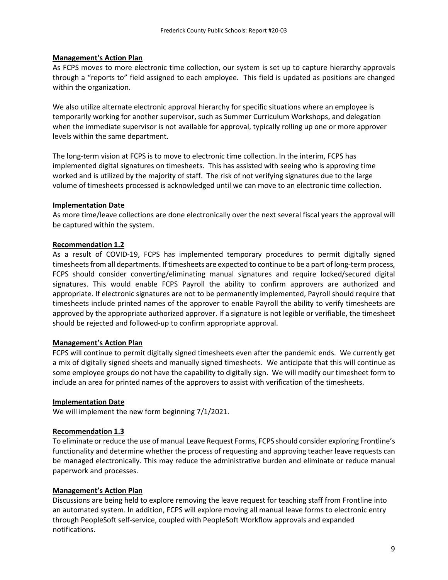## **Management's Action Plan**

As FCPS moves to more electronic time collection, our system is set up to capture hierarchy approvals through a "reports to" field assigned to each employee. This field is updated as positions are changed within the organization.

We also utilize alternate electronic approval hierarchy for specific situations where an employee is temporarily working for another supervisor, such as Summer Curriculum Workshops, and delegation when the immediate supervisor is not available for approval, typically rolling up one or more approver levels within the same department.

The long-term vision at FCPS is to move to electronic time collection. In the interim, FCPS has implemented digital signatures on timesheets. This has assisted with seeing who is approving time worked and is utilized by the majority of staff. The risk of not verifying signatures due to the large volume of timesheets processed is acknowledged until we can move to an electronic time collection.

## **Implementation Date**

As more time/leave collections are done electronically over the next several fiscal years the approval will be captured within the system.

## **Recommendation 1.2**

As a result of COVID-19, FCPS has implemented temporary procedures to permit digitally signed timesheets from all departments. If timesheets are expected to continue to be a part of long-term process, FCPS should consider converting/eliminating manual signatures and require locked/secured digital signatures. This would enable FCPS Payroll the ability to confirm approvers are authorized and appropriate. If electronic signatures are not to be permanently implemented, Payroll should require that timesheets include printed names of the approver to enable Payroll the ability to verify timesheets are approved by the appropriate authorized approver. If a signature is not legible or verifiable, the timesheet should be rejected and followed-up to confirm appropriate approval.

## **Management's Action Plan**

FCPS will continue to permit digitally signed timesheets even after the pandemic ends. We currently get a mix of digitally signed sheets and manually signed timesheets. We anticipate that this will continue as some employee groups do not have the capability to digitally sign. We will modify our timesheet form to include an area for printed names of the approvers to assist with verification of the timesheets.

#### **Implementation Date**

We will implement the new form beginning 7/1/2021.

#### **Recommendation 1.3**

To eliminate or reduce the use of manual Leave Request Forms, FCPS should consider exploring Frontline's functionality and determine whether the process of requesting and approving teacher leave requests can be managed electronically. This may reduce the administrative burden and eliminate or reduce manual paperwork and processes.

#### **Management's Action Plan**

Discussions are being held to explore removing the leave request for teaching staff from Frontline into an automated system. In addition, FCPS will explore moving all manual leave forms to electronic entry through PeopleSoft self-service, coupled with PeopleSoft Workflow approvals and expanded notifications.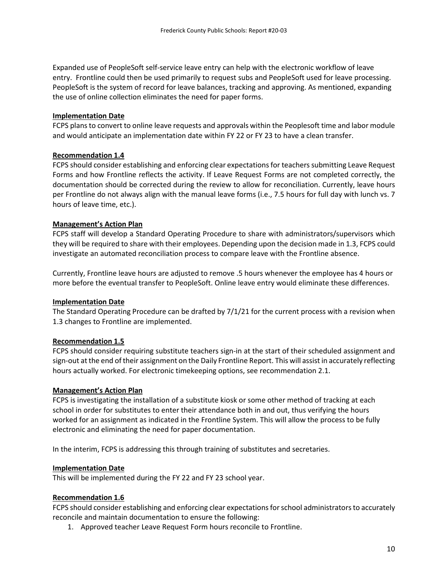Expanded use of PeopleSoft self-service leave entry can help with the electronic workflow of leave entry. Frontline could then be used primarily to request subs and PeopleSoft used for leave processing. PeopleSoft is the system of record for leave balances, tracking and approving. As mentioned, expanding the use of online collection eliminates the need for paper forms.

## **Implementation Date**

FCPS plans to convert to online leave requests and approvals within the Peoplesoft time and labor module and would anticipate an implementation date within FY 22 or FY 23 to have a clean transfer.

## **Recommendation 1.4**

FCPS should consider establishing and enforcing clear expectations for teachers submitting Leave Request Forms and how Frontline reflects the activity. If Leave Request Forms are not completed correctly, the documentation should be corrected during the review to allow for reconciliation. Currently, leave hours per Frontline do not always align with the manual leave forms (i.e., 7.5 hours for full day with lunch vs. 7 hours of leave time, etc.).

## **Management's Action Plan**

FCPS staff will develop a Standard Operating Procedure to share with administrators/supervisors which they will be required to share with their employees. Depending upon the decision made in 1.3, FCPS could investigate an automated reconciliation process to compare leave with the Frontline absence.

Currently, Frontline leave hours are adjusted to remove .5 hours whenever the employee has 4 hours or more before the eventual transfer to PeopleSoft. Online leave entry would eliminate these differences.

#### **Implementation Date**

The Standard Operating Procedure can be drafted by 7/1/21 for the current process with a revision when 1.3 changes to Frontline are implemented.

#### **Recommendation 1.5**

FCPS should consider requiring substitute teachers sign-in at the start of their scheduled assignment and sign-out at the end of their assignment on the Daily Frontline Report. This will assist in accurately reflecting hours actually worked. For electronic timekeeping options, see recommendation 2.1.

#### **Management's Action Plan**

FCPS is investigating the installation of a substitute kiosk or some other method of tracking at each school in order for substitutes to enter their attendance both in and out, thus verifying the hours worked for an assignment as indicated in the Frontline System. This will allow the process to be fully electronic and eliminating the need for paper documentation.

In the interim, FCPS is addressing this through training of substitutes and secretaries.

#### **Implementation Date**

This will be implemented during the FY 22 and FY 23 school year.

## **Recommendation 1.6**

FCPS should consider establishing and enforcing clear expectations for school administrators to accurately reconcile and maintain documentation to ensure the following:

1. Approved teacher Leave Request Form hours reconcile to Frontline.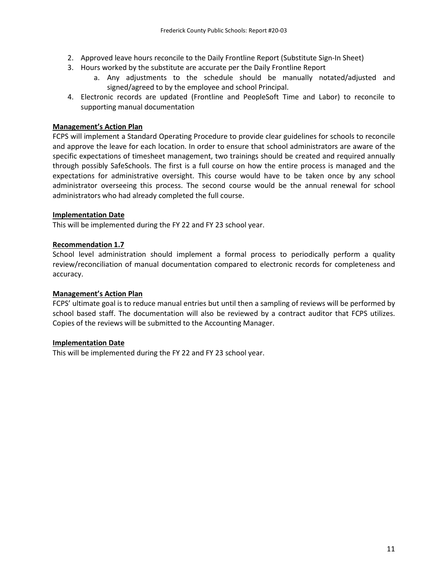- 2. Approved leave hours reconcile to the Daily Frontline Report (Substitute Sign-In Sheet)
- 3. Hours worked by the substitute are accurate per the Daily Frontline Report
	- a. Any adjustments to the schedule should be manually notated/adjusted and signed/agreed to by the employee and school Principal.
- 4. Electronic records are updated (Frontline and PeopleSoft Time and Labor) to reconcile to supporting manual documentation

## **Management's Action Plan**

FCPS will implement a Standard Operating Procedure to provide clear guidelines for schools to reconcile and approve the leave for each location. In order to ensure that school administrators are aware of the specific expectations of timesheet management, two trainings should be created and required annually through possibly SafeSchools. The first is a full course on how the entire process is managed and the expectations for administrative oversight. This course would have to be taken once by any school administrator overseeing this process. The second course would be the annual renewal for school administrators who had already completed the full course.

## **Implementation Date**

This will be implemented during the FY 22 and FY 23 school year.

## **Recommendation 1.7**

School level administration should implement a formal process to periodically perform a quality review/reconciliation of manual documentation compared to electronic records for completeness and accuracy.

## **Management's Action Plan**

FCPS' ultimate goal is to reduce manual entries but until then a sampling of reviews will be performed by school based staff. The documentation will also be reviewed by a contract auditor that FCPS utilizes. Copies of the reviews will be submitted to the Accounting Manager.

## **Implementation Date**

This will be implemented during the FY 22 and FY 23 school year.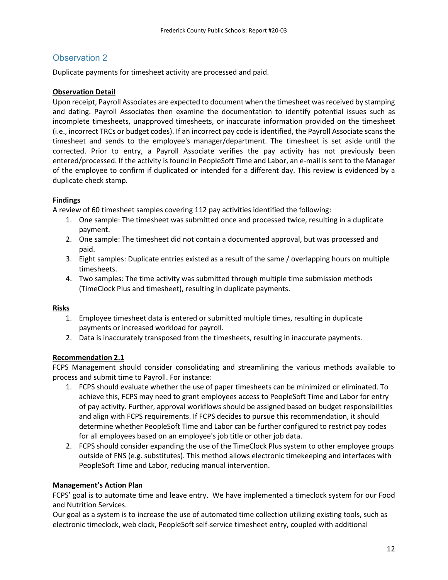Duplicate payments for timesheet activity are processed and paid.

## **Observation Detail**

Upon receipt, Payroll Associates are expected to document when the timesheet was received by stamping and dating. Payroll Associates then examine the documentation to identify potential issues such as incomplete timesheets, unapproved timesheets, or inaccurate information provided on the timesheet (i.e., incorrect TRCs or budget codes). If an incorrect pay code is identified, the Payroll Associate scans the timesheet and sends to the employee's manager/department. The timesheet is set aside until the corrected. Prior to entry, a Payroll Associate verifies the pay activity has not previously been entered/processed. If the activity is found in PeopleSoft Time and Labor, an e-mail is sent to the Manager of the employee to confirm if duplicated or intended for a different day. This review is evidenced by a duplicate check stamp.

## **Findings**

A review of 60 timesheet samples covering 112 pay activities identified the following:

- 1. One sample: The timesheet was submitted once and processed twice, resulting in a duplicate payment.
- 2. One sample: The timesheet did not contain a documented approval, but was processed and paid.
- 3. Eight samples: Duplicate entries existed as a result of the same / overlapping hours on multiple timesheets.
- 4. Two samples: The time activity was submitted through multiple time submission methods (TimeClock Plus and timesheet), resulting in duplicate payments.

## **Risks**

- 1. Employee timesheet data is entered or submitted multiple times, resulting in duplicate payments or increased workload for payroll.
- 2. Data is inaccurately transposed from the timesheets, resulting in inaccurate payments.

#### **Recommendation 2.1**

FCPS Management should consider consolidating and streamlining the various methods available to process and submit time to Payroll. For instance:

- 1. FCPS should evaluate whether the use of paper timesheets can be minimized or eliminated. To achieve this, FCPS may need to grant employees access to PeopleSoft Time and Labor for entry of pay activity. Further, approval workflows should be assigned based on budget responsibilities and align with FCPS requirements. If FCPS decides to pursue this recommendation, it should determine whether PeopleSoft Time and Labor can be further configured to restrict pay codes for all employees based on an employee's job title or other job data.
- 2. FCPS should consider expanding the use of the TimeClock Plus system to other employee groups outside of FNS (e.g. substitutes). This method allows electronic timekeeping and interfaces with PeopleSoft Time and Labor, reducing manual intervention.

#### **Management's Action Plan**

FCPS' goal is to automate time and leave entry. We have implemented a timeclock system for our Food and Nutrition Services.

Our goal as a system is to increase the use of automated time collection utilizing existing tools, such as electronic timeclock, web clock, PeopleSoft self-service timesheet entry, coupled with additional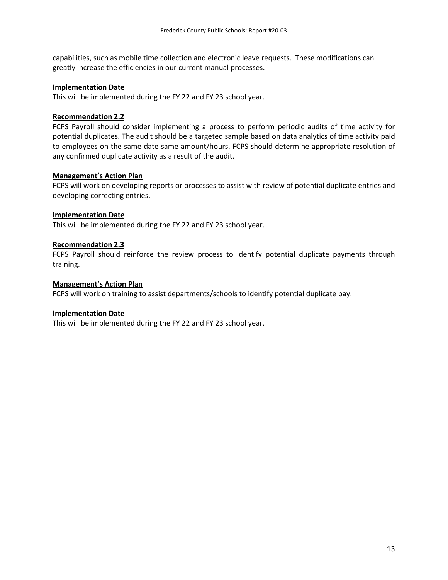capabilities, such as mobile time collection and electronic leave requests. These modifications can greatly increase the efficiencies in our current manual processes.

#### **Implementation Date**

This will be implemented during the FY 22 and FY 23 school year.

## **Recommendation 2.2**

FCPS Payroll should consider implementing a process to perform periodic audits of time activity for potential duplicates. The audit should be a targeted sample based on data analytics of time activity paid to employees on the same date same amount/hours. FCPS should determine appropriate resolution of any confirmed duplicate activity as a result of the audit.

#### **Management's Action Plan**

FCPS will work on developing reports or processes to assist with review of potential duplicate entries and developing correcting entries.

#### **Implementation Date**

This will be implemented during the FY 22 and FY 23 school year.

#### **Recommendation 2.3**

FCPS Payroll should reinforce the review process to identify potential duplicate payments through training.

#### **Management's Action Plan**

FCPS will work on training to assist departments/schools to identify potential duplicate pay.

#### **Implementation Date**

This will be implemented during the FY 22 and FY 23 school year.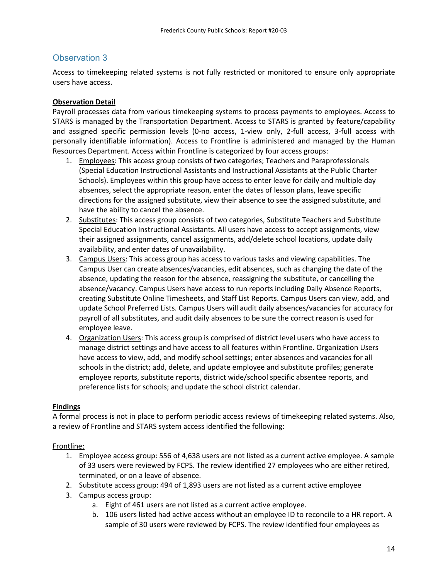Access to timekeeping related systems is not fully restricted or monitored to ensure only appropriate users have access.

## **Observation Detail**

Payroll processes data from various timekeeping systems to process payments to employees. Access to STARS is managed by the Transportation Department. Access to STARS is granted by feature/capability and assigned specific permission levels (0-no access, 1-view only, 2-full access, 3-full access with personally identifiable information). Access to Frontline is administered and managed by the Human Resources Department. Access within Frontline is categorized by four access groups:

- 1. Employees: This access group consists of two categories; Teachers and Paraprofessionals (Special Education Instructional Assistants and Instructional Assistants at the Public Charter Schools). Employees within this group have access to enter leave for daily and multiple day absences, select the appropriate reason, enter the dates of lesson plans, leave specific directions for the assigned substitute, view their absence to see the assigned substitute, and have the ability to cancel the absence.
- 2. Substitutes: This access group consists of two categories, Substitute Teachers and Substitute Special Education Instructional Assistants. All users have access to accept assignments, view their assigned assignments, cancel assignments, add/delete school locations, update daily availability, and enter dates of unavailability.
- 3. Campus Users: This access group has access to various tasks and viewing capabilities. The Campus User can create absences/vacancies, edit absences, such as changing the date of the absence, updating the reason for the absence, reassigning the substitute, or cancelling the absence/vacancy. Campus Users have access to run reports including Daily Absence Reports, creating Substitute Online Timesheets, and Staff List Reports. Campus Users can view, add, and update School Preferred Lists. Campus Users will audit daily absences/vacancies for accuracy for payroll of all substitutes, and audit daily absences to be sure the correct reason is used for employee leave.
- 4. Organization Users: This access group is comprised of district level users who have access to manage district settings and have access to all features within Frontline. Organization Users have access to view, add, and modify school settings; enter absences and vacancies for all schools in the district; add, delete, and update employee and substitute profiles; generate employee reports, substitute reports, district wide/school specific absentee reports, and preference lists for schools; and update the school district calendar.

## **Findings**

A formal process is not in place to perform periodic access reviews of timekeeping related systems. Also, a review of Frontline and STARS system access identified the following:

## Frontline:

- 1. Employee access group: 556 of 4,638 users are not listed as a current active employee. A sample of 33 users were reviewed by FCPS. The review identified 27 employees who are either retired, terminated, or on a leave of absence.
- 2. Substitute access group: 494 of 1,893 users are not listed as a current active employee
- 3. Campus access group:
	- a. Eight of 461 users are not listed as a current active employee.
	- b. 106 users listed had active access without an employee ID to reconcile to a HR report. A sample of 30 users were reviewed by FCPS. The review identified four employees as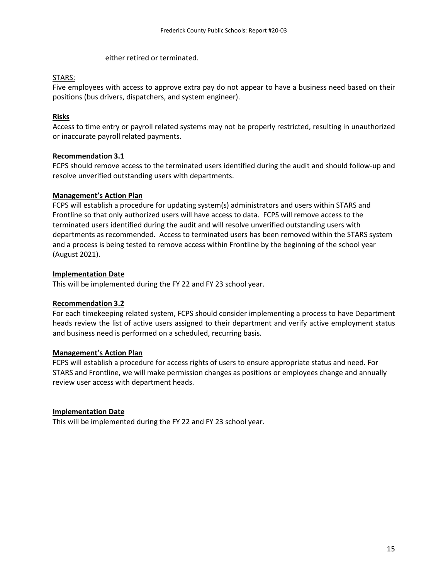either retired or terminated.

## STARS:

Five employees with access to approve extra pay do not appear to have a business need based on their positions (bus drivers, dispatchers, and system engineer).

## **Risks**

Access to time entry or payroll related systems may not be properly restricted, resulting in unauthorized or inaccurate payroll related payments.

## **Recommendation 3.1**

FCPS should remove access to the terminated users identified during the audit and should follow-up and resolve unverified outstanding users with departments.

## **Management's Action Plan**

FCPS will establish a procedure for updating system(s) administrators and users within STARS and Frontline so that only authorized users will have access to data. FCPS will remove access to the terminated users identified during the audit and will resolve unverified outstanding users with departments as recommended. Access to terminated users has been removed within the STARS system and a process is being tested to remove access within Frontline by the beginning of the school year (August 2021).

## **Implementation Date**

This will be implemented during the FY 22 and FY 23 school year.

## **Recommendation 3.2**

For each timekeeping related system, FCPS should consider implementing a process to have Department heads review the list of active users assigned to their department and verify active employment status and business need is performed on a scheduled, recurring basis.

## **Management's Action Plan**

FCPS will establish a procedure for access rights of users to ensure appropriate status and need. For STARS and Frontline, we will make permission changes as positions or employees change and annually review user access with department heads.

## **Implementation Date**

This will be implemented during the FY 22 and FY 23 school year.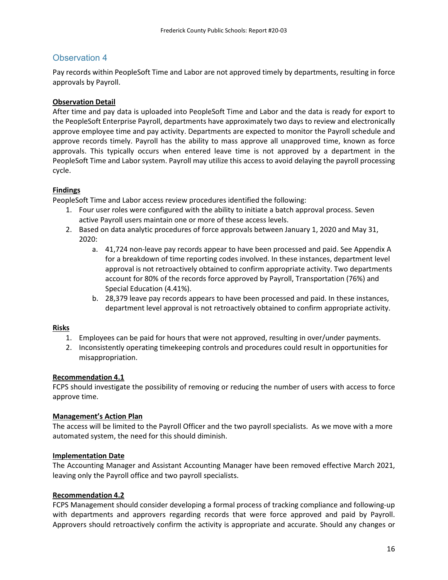Pay records within PeopleSoft Time and Labor are not approved timely by departments, resulting in force approvals by Payroll.

## **Observation Detail**

After time and pay data is uploaded into PeopleSoft Time and Labor and the data is ready for export to the PeopleSoft Enterprise Payroll, departments have approximately two days to review and electronically approve employee time and pay activity. Departments are expected to monitor the Payroll schedule and approve records timely. Payroll has the ability to mass approve all unapproved time, known as force approvals. This typically occurs when entered leave time is not approved by a department in the PeopleSoft Time and Labor system. Payroll may utilize this access to avoid delaying the payroll processing cycle.

## **Findings**

PeopleSoft Time and Labor access review procedures identified the following:

- 1. Four user roles were configured with the ability to initiate a batch approval process. Seven active Payroll users maintain one or more of these access levels.
- 2. Based on data analytic procedures of force approvals between January 1, 2020 and May 31, 2020:
	- a. 41,724 non-leave pay records appear to have been processed and paid. See Appendix A for a breakdown of time reporting codes involved. In these instances, department level approval is not retroactively obtained to confirm appropriate activity. Two departments account for 80% of the records force approved by Payroll, Transportation (76%) and Special Education (4.41%).
	- b. 28,379 leave pay records appears to have been processed and paid. In these instances, department level approval is not retroactively obtained to confirm appropriate activity.

## **Risks**

- 1. Employees can be paid for hours that were not approved, resulting in over/under payments.
- 2. Inconsistently operating timekeeping controls and procedures could result in opportunities for misappropriation.

## **Recommendation 4.1**

FCPS should investigate the possibility of removing or reducing the number of users with access to force approve time.

## **Management's Action Plan**

The access will be limited to the Payroll Officer and the two payroll specialists. As we move with a more automated system, the need for this should diminish.

## **Implementation Date**

The Accounting Manager and Assistant Accounting Manager have been removed effective March 2021, leaving only the Payroll office and two payroll specialists.

## **Recommendation 4.2**

FCPS Management should consider developing a formal process of tracking compliance and following-up with departments and approvers regarding records that were force approved and paid by Payroll. Approvers should retroactively confirm the activity is appropriate and accurate. Should any changes or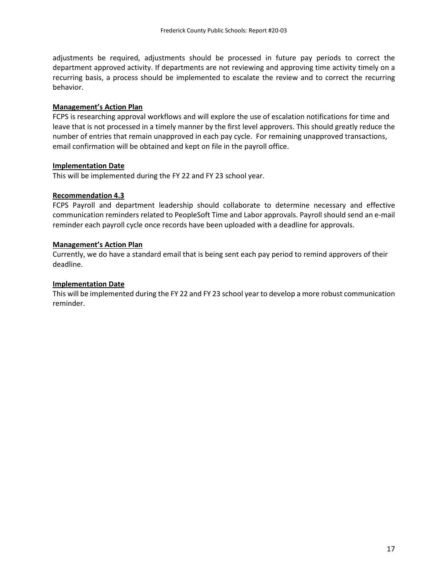adjustments be required, adjustments should be processed in future pay periods to correct the department approved activity. If departments are not reviewing and approving time activity timely on a recurring basis, a process should be implemented to escalate the review and to correct the recurring behavior.

## **Management's Action Plan**

FCPS is researching approval workflows and will explore the use of escalation notifications for time and leave that is not processed in a timely manner by the first level approvers. This should greatly reduce the number of entries that remain unapproved in each pay cycle. For remaining unapproved transactions, email confirmation will be obtained and kept on file in the payroll office.

#### **Implementation Date**

This will be implemented during the FY 22 and FY 23 school year.

## **Recommendation 4.3**

FCPS Payroll and department leadership should collaborate to determine necessary and effective communication reminders related to PeopleSoft Time and Labor approvals. Payroll should send an e-mail reminder each payroll cycle once records have been uploaded with a deadline for approvals.

## **Management's Action Plan**

Currently, we do have a standard email that is being sent each pay period to remind approvers of their deadline.

## **Implementation Date**

This will be implemented during the FY 22 and FY 23 school year to develop a more robust communication reminder.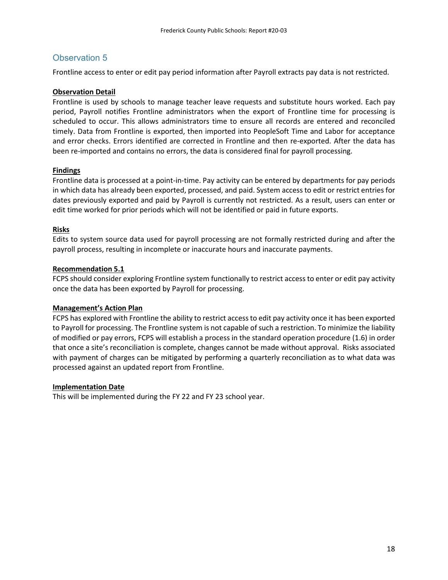Frontline access to enter or edit pay period information after Payroll extracts pay data is not restricted.

## **Observation Detail**

Frontline is used by schools to manage teacher leave requests and substitute hours worked. Each pay period, Payroll notifies Frontline administrators when the export of Frontline time for processing is scheduled to occur. This allows administrators time to ensure all records are entered and reconciled timely. Data from Frontline is exported, then imported into PeopleSoft Time and Labor for acceptance and error checks. Errors identified are corrected in Frontline and then re-exported. After the data has been re-imported and contains no errors, the data is considered final for payroll processing.

## **Findings**

Frontline data is processed at a point-in-time. Pay activity can be entered by departments for pay periods in which data has already been exported, processed, and paid. System access to edit or restrict entries for dates previously exported and paid by Payroll is currently not restricted. As a result, users can enter or edit time worked for prior periods which will not be identified or paid in future exports.

## **Risks**

Edits to system source data used for payroll processing are not formally restricted during and after the payroll process, resulting in incomplete or inaccurate hours and inaccurate payments.

## **Recommendation 5.1**

FCPS should consider exploring Frontline system functionally to restrict access to enter or edit pay activity once the data has been exported by Payroll for processing.

## **Management's Action Plan**

FCPS has explored with Frontline the ability to restrict access to edit pay activity once it has been exported to Payroll for processing. The Frontline system is not capable of such a restriction. To minimize the liability of modified or pay errors, FCPS will establish a process in the standard operation procedure (1.6) in order that once a site's reconciliation is complete, changes cannot be made without approval. Risks associated with payment of charges can be mitigated by performing a quarterly reconciliation as to what data was processed against an updated report from Frontline.

#### **Implementation Date**

This will be implemented during the FY 22 and FY 23 school year.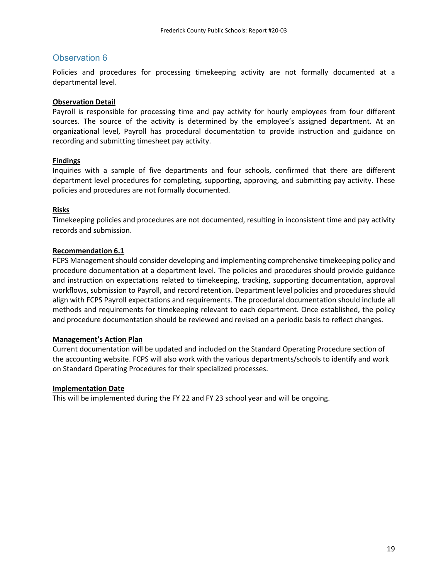Policies and procedures for processing timekeeping activity are not formally documented at a departmental level.

#### **Observation Detail**

Payroll is responsible for processing time and pay activity for hourly employees from four different sources. The source of the activity is determined by the employee's assigned department. At an organizational level, Payroll has procedural documentation to provide instruction and guidance on recording and submitting timesheet pay activity.

## **Findings**

Inquiries with a sample of five departments and four schools, confirmed that there are different department level procedures for completing, supporting, approving, and submitting pay activity. These policies and procedures are not formally documented.

## **Risks**

Timekeeping policies and procedures are not documented, resulting in inconsistent time and pay activity records and submission.

## **Recommendation 6.1**

FCPS Management should consider developing and implementing comprehensive timekeeping policy and procedure documentation at a department level. The policies and procedures should provide guidance and instruction on expectations related to timekeeping, tracking, supporting documentation, approval workflows, submission to Payroll, and record retention. Department level policies and procedures should align with FCPS Payroll expectations and requirements. The procedural documentation should include all methods and requirements for timekeeping relevant to each department. Once established, the policy and procedure documentation should be reviewed and revised on a periodic basis to reflect changes.

#### **Management's Action Plan**

Current documentation will be updated and included on the Standard Operating Procedure section of the accounting website. FCPS will also work with the various departments/schools to identify and work on Standard Operating Procedures for their specialized processes.

#### **Implementation Date**

This will be implemented during the FY 22 and FY 23 school year and will be ongoing.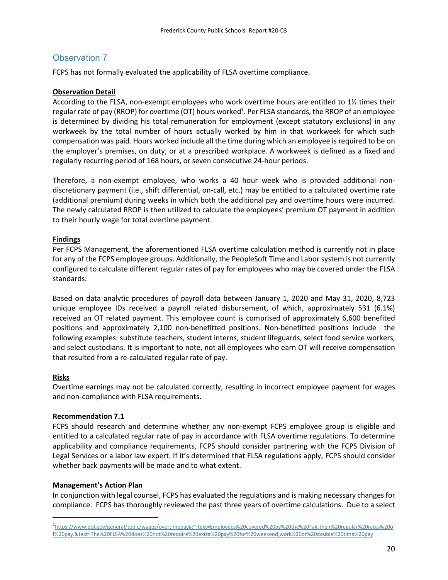FCPS has not formally evaluated the applicability of FLSA overtime compliance.

## **Observation Detail**

According to the FLSA, non-exempt employees who work overtime hours are entitled to 1½ times their regular rate of pay (RROP) for overtime (OT) hours worked<sup>1</sup>. Per FLSA standards, the RROP of an employee is determined by dividing his total remuneration for employment (except statutory exclusions) in any workweek by the total number of hours actually worked by him in that workweek for which such compensation was paid. Hours worked include all the time during which an employee is required to be on the employer's premises, on duty, or at a prescribed workplace. A workweek is defined as a fixed and regularly recurring period of 168 hours, or seven consecutive 24-hour periods.

Therefore, a non-exempt employee, who works a 40 hour week who is provided additional nondiscretionary payment (i.e., shift differential, on-call, etc.) may be entitled to a calculated overtime rate (additional premium) during weeks in which both the additional pay and overtime hours were incurred. The newly calculated RROP is then utilized to calculate the employees' premium OT payment in addition to their hourly wage for total overtime payment.

## **Findings**

Per FCPS Management, the aforementioned FLSA overtime calculation method is currently not in place for any of the FCPS employee groups. Additionally, the PeopleSoft Time and Labor system is not currently configured to calculate different regular rates of pay for employees who may be covered under the FLSA standards.

Based on data analytic procedures of payroll data between January 1, 2020 and May 31, 2020, 8,723 unique employee IDs received a payroll related disbursement, of which, approximately 531 (6.1%) received an OT related payment. This employee count is comprised of approximately 6,600 benefited positions and approximately 2,100 non-benefitted positions. Non-benefitted positions include the following examples: substitute teachers, student interns, student lifeguards, select food service workers, and select custodians. It is important to note, not all employees who earn OT will receive compensation that resulted from a re-calculated regular rate of pay.

## **Risks**

 $\overline{a}$ 

Overtime earnings may not be calculated correctly, resulting in incorrect employee payment for wages and non-compliance with FLSA requirements.

## **Recommendation 7.1**

FCPS should research and determine whether any non-exempt FCPS employee group is eligible and entitled to a calculated regular rate of pay in accordance with FLSA overtime regulations. To determine applicability and compliance requirements, FCPS should consider partnering with the FCPS Division of Legal Services or a labor law expert. If it's determined that FLSA regulations apply, FCPS should consider whether back payments will be made and to what extent.

## **Management's Action Plan**

In conjunction with legal counsel, FCPS has evaluated the regulations and is making necessary changes for compliance. FCPS has thoroughly reviewed the past three years of overtime calculations. Due to a select

<sup>1</sup> https://www.dol.gov/general/topic/wages/overtimepay#:~:text=Employees%20covered%20by%20the%20Fair,their%20regular%20rates%20o f%20pay.&text=The%20FLSA%20does%20not%20require%20extra%20pay%20for%20weekend,work%20or%20double%20time%20pay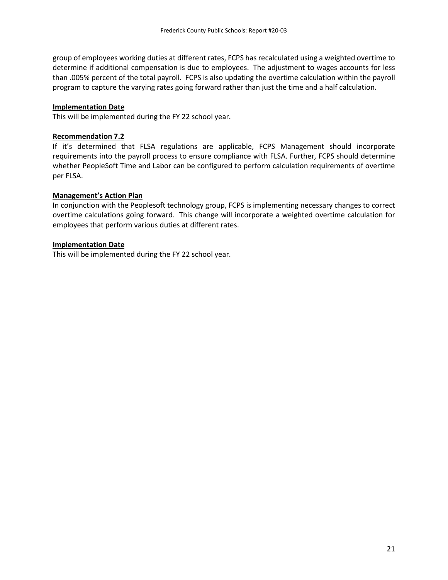group of employees working duties at different rates, FCPS has recalculated using a weighted overtime to determine if additional compensation is due to employees. The adjustment to wages accounts for less than .005% percent of the total payroll. FCPS is also updating the overtime calculation within the payroll program to capture the varying rates going forward rather than just the time and a half calculation.

## **Implementation Date**

This will be implemented during the FY 22 school year.

## **Recommendation 7.2**

If it's determined that FLSA regulations are applicable, FCPS Management should incorporate requirements into the payroll process to ensure compliance with FLSA. Further, FCPS should determine whether PeopleSoft Time and Labor can be configured to perform calculation requirements of overtime per FLSA.

## **Management's Action Plan**

In conjunction with the Peoplesoft technology group, FCPS is implementing necessary changes to correct overtime calculations going forward. This change will incorporate a weighted overtime calculation for employees that perform various duties at different rates.

## **Implementation Date**

This will be implemented during the FY 22 school year.